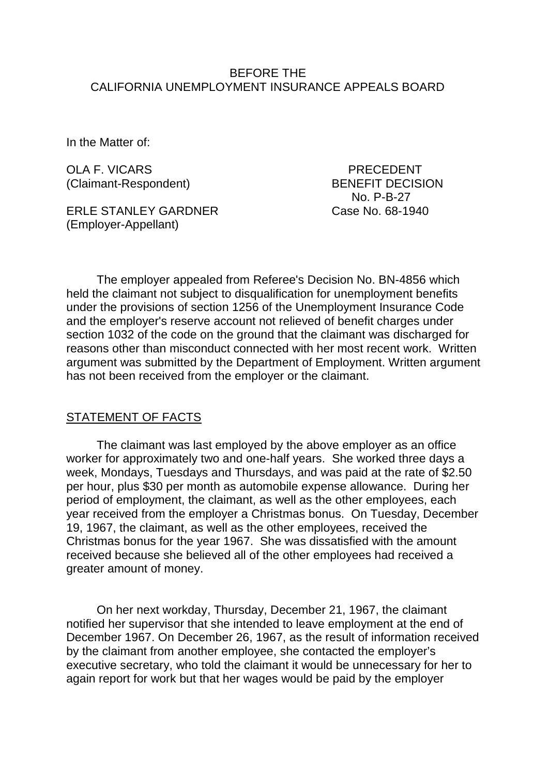### BEFORE THE CALIFORNIA UNEMPLOYMENT INSURANCE APPEALS BOARD

In the Matter of:

OLA F. VICARS PRECEDENT (Claimant-Respondent) BENEFIT DECISION

ERLE STANLEY GARDNER Case No. 68-1940 (Employer-Appellant)

No. P-B-27

The employer appealed from Referee's Decision No. BN-4856 which held the claimant not subject to disqualification for unemployment benefits under the provisions of section 1256 of the Unemployment Insurance Code and the employer's reserve account not relieved of benefit charges under section 1032 of the code on the ground that the claimant was discharged for reasons other than misconduct connected with her most recent work. Written argument was submitted by the Department of Employment. Written argument has not been received from the employer or the claimant.

### STATEMENT OF FACTS

The claimant was last employed by the above employer as an office worker for approximately two and one-half years. She worked three days a week, Mondays, Tuesdays and Thursdays, and was paid at the rate of \$2.50 per hour, plus \$30 per month as automobile expense allowance. During her period of employment, the claimant, as well as the other employees, each year received from the employer a Christmas bonus. On Tuesday, December 19, 1967, the claimant, as well as the other employees, received the Christmas bonus for the year 1967. She was dissatisfied with the amount received because she believed all of the other employees had received a greater amount of money.

On her next workday, Thursday, December 21, 1967, the claimant notified her supervisor that she intended to leave employment at the end of December 1967. On December 26, 1967, as the result of information received by the claimant from another employee, she contacted the employer's executive secretary, who told the claimant it would be unnecessary for her to again report for work but that her wages would be paid by the employer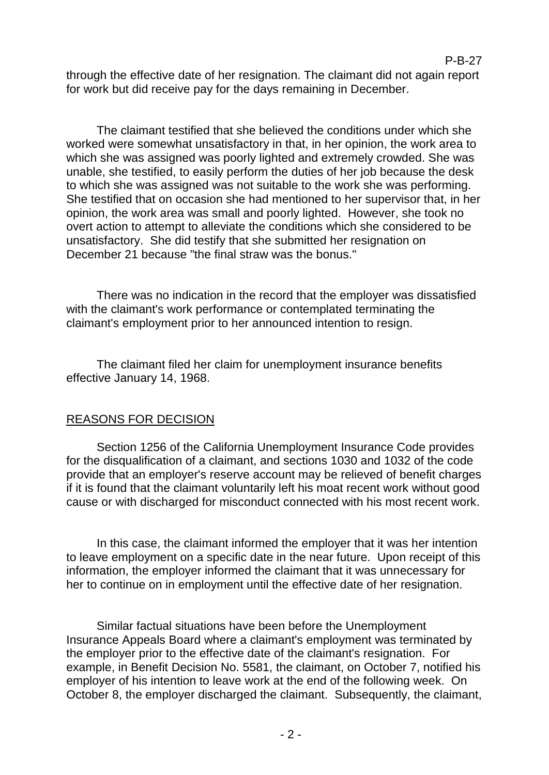through the effective date of her resignation. The claimant did not again report for work but did receive pay for the days remaining in December.

P-B-27

The claimant testified that she believed the conditions under which she worked were somewhat unsatisfactory in that, in her opinion, the work area to which she was assigned was poorly lighted and extremely crowded. She was unable, she testified, to easily perform the duties of her job because the desk to which she was assigned was not suitable to the work she was performing. She testified that on occasion she had mentioned to her supervisor that, in her opinion, the work area was small and poorly lighted. However, she took no overt action to attempt to alleviate the conditions which she considered to be unsatisfactory. She did testify that she submitted her resignation on December 21 because "the final straw was the bonus."

There was no indication in the record that the employer was dissatisfied with the claimant's work performance or contemplated terminating the claimant's employment prior to her announced intention to resign.

The claimant filed her claim for unemployment insurance benefits effective January 14, 1968.

# REASONS FOR DECISION

Section 1256 of the California Unemployment Insurance Code provides for the disqualification of a claimant, and sections 1030 and 1032 of the code provide that an employer's reserve account may be relieved of benefit charges if it is found that the claimant voluntarily left his moat recent work without good cause or with discharged for misconduct connected with his most recent work.

In this case, the claimant informed the employer that it was her intention to leave employment on a specific date in the near future. Upon receipt of this information, the employer informed the claimant that it was unnecessary for her to continue on in employment until the effective date of her resignation.

Similar factual situations have been before the Unemployment Insurance Appeals Board where a claimant's employment was terminated by the employer prior to the effective date of the claimant's resignation. For example, in Benefit Decision No. 5581, the claimant, on October 7, notified his employer of his intention to leave work at the end of the following week. On October 8, the employer discharged the claimant. Subsequently, the claimant,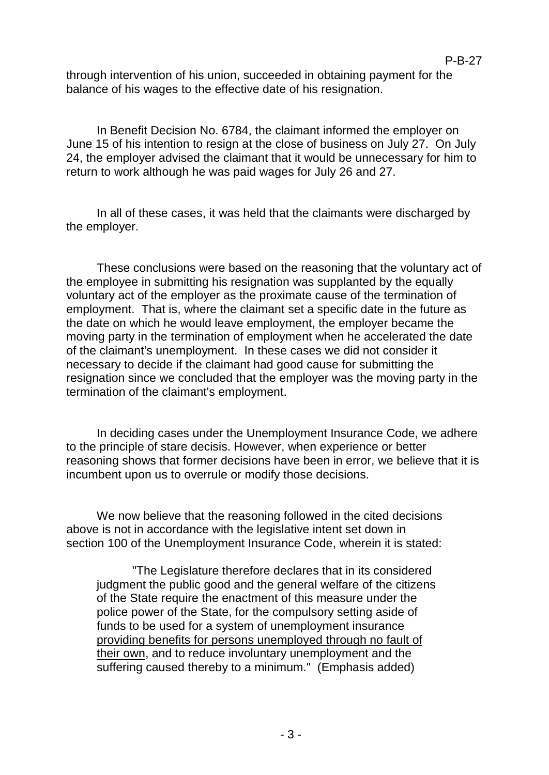through intervention of his union, succeeded in obtaining payment for the balance of his wages to the effective date of his resignation.

In Benefit Decision No. 6784, the claimant informed the employer on June 15 of his intention to resign at the close of business on July 27. On July 24, the employer advised the claimant that it would be unnecessary for him to return to work although he was paid wages for July 26 and 27.

In all of these cases, it was held that the claimants were discharged by the employer.

These conclusions were based on the reasoning that the voluntary act of the employee in submitting his resignation was supplanted by the equally voluntary act of the employer as the proximate cause of the termination of employment. That is, where the claimant set a specific date in the future as the date on which he would leave employment, the employer became the moving party in the termination of employment when he accelerated the date of the claimant's unemployment. In these cases we did not consider it necessary to decide if the claimant had good cause for submitting the resignation since we concluded that the employer was the moving party in the termination of the claimant's employment.

In deciding cases under the Unemployment Insurance Code, we adhere to the principle of stare decisis. However, when experience or better reasoning shows that former decisions have been in error, we believe that it is incumbent upon us to overrule or modify those decisions.

We now believe that the reasoning followed in the cited decisions above is not in accordance with the legislative intent set down in section 100 of the Unemployment Insurance Code, wherein it is stated:

"The Legislature therefore declares that in its considered judgment the public good and the general welfare of the citizens of the State require the enactment of this measure under the police power of the State, for the compulsory setting aside of funds to be used for a system of unemployment insurance providing benefits for persons unemployed through no fault of their own, and to reduce involuntary unemployment and the suffering caused thereby to a minimum." (Emphasis added)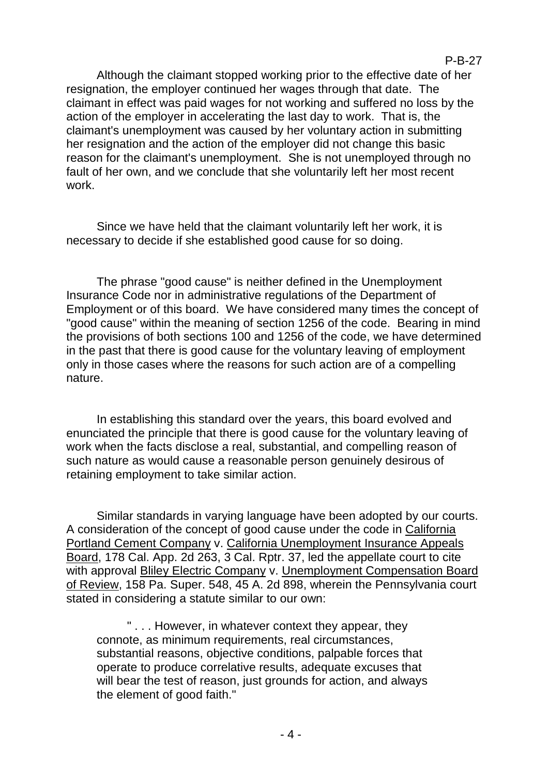## P-B-27

Although the claimant stopped working prior to the effective date of her resignation, the employer continued her wages through that date. The claimant in effect was paid wages for not working and suffered no loss by the action of the employer in accelerating the last day to work. That is, the claimant's unemployment was caused by her voluntary action in submitting her resignation and the action of the employer did not change this basic reason for the claimant's unemployment. She is not unemployed through no fault of her own, and we conclude that she voluntarily left her most recent work.

Since we have held that the claimant voluntarily left her work, it is necessary to decide if she established good cause for so doing.

The phrase "good cause" is neither defined in the Unemployment Insurance Code nor in administrative regulations of the Department of Employment or of this board. We have considered many times the concept of "good cause" within the meaning of section 1256 of the code. Bearing in mind the provisions of both sections 100 and 1256 of the code, we have determined in the past that there is good cause for the voluntary leaving of employment only in those cases where the reasons for such action are of a compelling nature.

In establishing this standard over the years, this board evolved and enunciated the principle that there is good cause for the voluntary leaving of work when the facts disclose a real, substantial, and compelling reason of such nature as would cause a reasonable person genuinely desirous of retaining employment to take similar action.

Similar standards in varying language have been adopted by our courts. A consideration of the concept of good cause under the code in California Portland Cement Company v. California Unemployment Insurance Appeals Board, 178 Cal. App. 2d 263, 3 Cal. Rptr. 37, led the appellate court to cite with approval Bliley Electric Company v. Unemployment Compensation Board of Review, 158 Pa. Super. 548, 45 A. 2d 898, wherein the Pennsylvania court stated in considering a statute similar to our own:

" . . . However, in whatever context they appear, they connote, as minimum requirements, real circumstances, substantial reasons, objective conditions, palpable forces that operate to produce correlative results, adequate excuses that will bear the test of reason, just grounds for action, and always the element of good faith."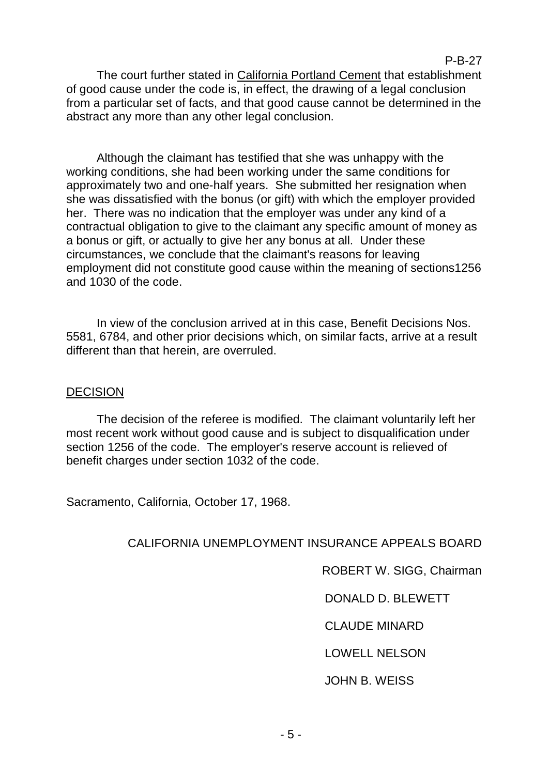#### P-B-27

The court further stated in California Portland Cement that establishment of good cause under the code is, in effect, the drawing of a legal conclusion from a particular set of facts, and that good cause cannot be determined in the abstract any more than any other legal conclusion.

Although the claimant has testified that she was unhappy with the working conditions, she had been working under the same conditions for approximately two and one-half years. She submitted her resignation when she was dissatisfied with the bonus (or gift) with which the employer provided her. There was no indication that the employer was under any kind of a contractual obligation to give to the claimant any specific amount of money as a bonus or gift, or actually to give her any bonus at all. Under these circumstances, we conclude that the claimant's reasons for leaving employment did not constitute good cause within the meaning of sections1256 and 1030 of the code.

In view of the conclusion arrived at in this case, Benefit Decisions Nos. 5581, 6784, and other prior decisions which, on similar facts, arrive at a result different than that herein, are overruled.

## **DECISION**

The decision of the referee is modified. The claimant voluntarily left her most recent work without good cause and is subject to disqualification under section 1256 of the code. The employer's reserve account is relieved of benefit charges under section 1032 of the code.

Sacramento, California, October 17, 1968.

# CALIFORNIA UNEMPLOYMENT INSURANCE APPEALS BOARD

ROBERT W. SIGG, Chairman

# DONALD D. BLEWETT

CLAUDE MINARD

# LOWELL NELSON

# JOHN B. WEISS